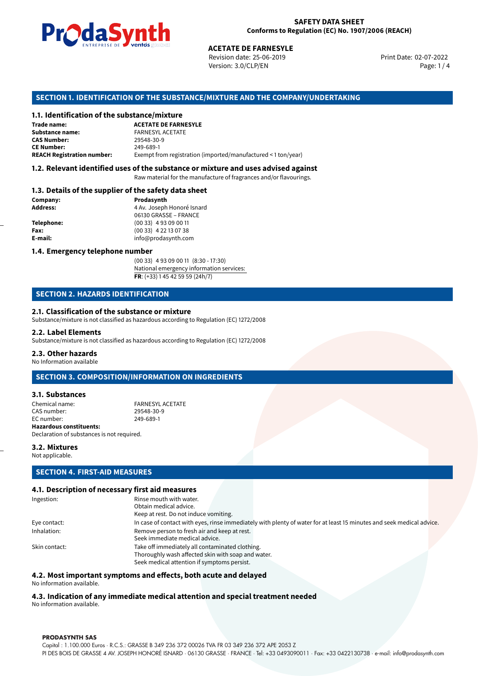

Revision date: 25-06-2019 Version: 3.0/CLP/EN Page: 1 / 4

Print Date: 02-07-2022

### **SECTION 1. IDENTIFICATION OF THE SUBSTANCE/MIXTURE AND THE COMPANY/UNDERTAKING**

### **1.1. Identification of the substance/mixture**

|                                              | LIVING THE DE <b>DE VOINUS</b> SUSSESSI<br><b>ACETATE DE FARNESYLE</b><br>Revision date: 25-06-2019<br>Version: 3.0/CLP/EN |
|----------------------------------------------|----------------------------------------------------------------------------------------------------------------------------|
|                                              | SECTION 1. IDENTIFICATION OF THE SUBSTANCE/MIXTURE AND THE COMPANY/L                                                       |
| 1.1. Identification of the substance/mixture |                                                                                                                            |
| Trade name:                                  | <b>ACETATE DE FARNESYLE</b>                                                                                                |
| Substance name:                              | <b>FARNESYL ACETATE</b>                                                                                                    |
| <b>CAS Number:</b>                           | 29548-30-9                                                                                                                 |
| <b>CE Number:</b>                            | 249-689-1                                                                                                                  |
| <b>REACH Registration number:</b>            | Exempt from registration (imported/manufactured < 1 ton/year)                                                              |
|                                              |                                                                                                                            |

### **1.2. Relevant identified uses of the substance or mixture and uses advised against**

Raw material for the manufacture of fragrances and/or flavourings.

### **1.3. Details of the supplier of the safety data sheet**

| Company:          | Prodasynth                 |  |
|-------------------|----------------------------|--|
| <b>Address:</b>   | 4 Av. Joseph Honoré Isnard |  |
|                   | 06130 GRASSE - FRANCE      |  |
| <b>Telephone:</b> | $(0033)$ 4 93 09 00 11     |  |
| Fax:              | $(0033)$ 4 22 13 07 38     |  |
| E-mail:           | info@prodasynth.com        |  |
|                   |                            |  |

### **1.4. Emergency telephone number**

(00 33) 4 93 09 00 11 (8:30 - 17:30) National emergency information services: **FR**: (+33) 1 45 42 59 59 (24h/7)

### **SECTION 2. HAZARDS IDENTIFICATION**

### **2.1. Classification of the substance or mixture**

Substance/mixture is not classified as hazardous according to Regulation (EC) 1272/2008

#### **2.2. Label Elements**

Substance/mixture is not classified as hazardous according to Regulation (EC) 1272/2008

#### **2.3. Other hazards**

No Information available

### **SECTION 3. COMPOSITION/INFORMATION ON INGREDIENTS**

### **3.1. Substances**

Chemical name: FARNESYL ACETATE CAS number: 29548-30-9 EC number: **Hazardous constituents:** Declaration of substances is not required.

**3.2. Mixtures**

Not applicable.

### **SECTION 4. FIRST-AID MEASURES**

### **4.1. Description of necessary first aid measures**

| Ingestion:    | Rinse mouth with water.                                                                                               |
|---------------|-----------------------------------------------------------------------------------------------------------------------|
|               | Obtain medical advice.                                                                                                |
|               | Keep at rest. Do not induce vomiting.                                                                                 |
| Eye contact:  | In case of contact with eyes, rinse immediately with plenty of water for at least 15 minutes and seek medical advice. |
| Inhalation:   | Remove person to fresh air and keep at rest.                                                                          |
|               | Seek immediate medical advice.                                                                                        |
| Skin contact: | Take off immediately all contaminated clothing.                                                                       |
|               | Thoroughly wash affected skin with soap and water.                                                                    |
|               | Seek medical attention if symptoms persist.                                                                           |
|               |                                                                                                                       |

#### **4.2. Most important symptoms and effects, both acute and delayed**

No information available.

## **4.3. Indication of any immediate medical attention and special treatment needed**

No information available.

#### **PRODASYNTH SAS**

Capital : 1.100.000 Euros · R.C.S.: GRASSE B 349 236 372 00026 TVA FR 03 349 236 372 APE 2053 Z PI DES BOIS DE GRASSE 4 AV. JOSEPH HONORÉ ISNARD · 06130 GRASSE · FRANCE · Tel: +33 0493090011 · Fax: +33 0422130738 · e-mail: info@prodasynth.com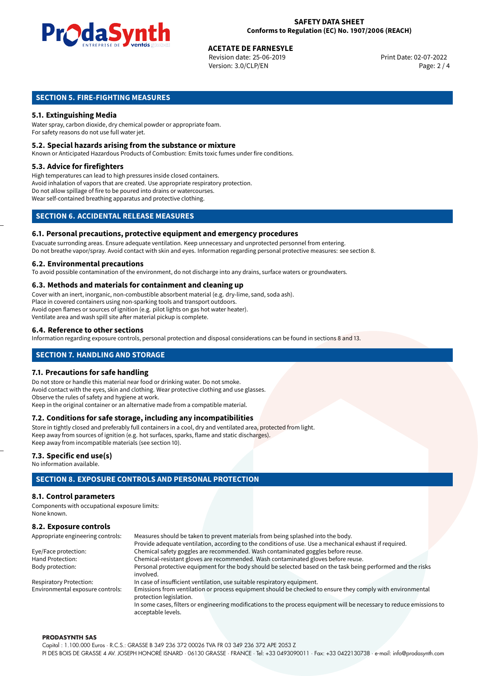

# **ACETATE DE FARNESYLE**<br>
Revision date: 25-06-2019<br> **Print Date: 02-07-2022**

Revision date: 25-06-2019 Version: 3.0/CLP/EN Page: 2 / 4

### **SECTION 5. FIRE-FIGHTING MEASURES**

### **5.1. Extinguishing Media**

Water spray, carbon dioxide, dry chemical powder or appropriate foam. For safety reasons do not use full water jet.

### **5.2. Special hazards arising from the substance or mixture**

Known or Anticipated Hazardous Products of Combustion: Emits toxic fumes under fire conditions.

### **5.3. Advice for firefighters**

High temperatures can lead to high pressures inside closed containers. Avoid inhalation of vapors that are created. Use appropriate respiratory protection. Do not allow spillage of fire to be poured into drains or watercourses. Wear self-contained breathing apparatus and protective clothing.

### **SECTION 6. ACCIDENTAL RELEASE MEASURES**

### **6.1. Personal precautions, protective equipment and emergency procedures**

Evacuate surronding areas. Ensure adequate ventilation. Keep unnecessary and unprotected personnel from entering. Do not breathe vapor/spray. Avoid contact with skin and eyes. Information regarding personal protective measures: see section 8.

### **6.2. Environmental precautions**

To avoid possible contamination of the environment, do not discharge into any drains, surface waters or groundwaters.

### **6.3. Methods and materials for containment and cleaning up**

Cover with an inert, inorganic, non-combustible absorbent material (e.g. dry-lime, sand, soda ash). Place in covered containers using non-sparking tools and transport outdoors. Avoid open flames or sources of ignition (e.g. pilot lights on gas hot water heater). Ventilate area and wash spill site after material pickup is complete.

### **6.4. Reference to other sections**

Information regarding exposure controls, personal protection and disposal considerations can be found in sections 8 and 13.

### **SECTION 7. HANDLING AND STORAGE**

#### **7.1. Precautions for safe handling**

Do not store or handle this material near food or drinking water. Do not smoke. Avoid contact with the eyes, skin and clothing. Wear protective clothing and use glasses. Observe the rules of safety and hygiene at work. Keep in the original container or an alternative made from a compatible material.

### **7.2. Conditions for safe storage, including any incompatibilities**

Store in tightly closed and preferably full containers in a cool, dry and ventilated area, protected from light. Keep away from sources of ignition (e.g. hot surfaces, sparks, flame and static discharges). Keep away from incompatible materials (see section 10).

### **7.3. Specific end use(s)**

No information available.

### **SECTION 8. EXPOSURE CONTROLS AND PERSONAL PROTECTION**

### **8.1. Control parameters**

Components with occupational exposure limits: None known.

### **8.2. Exposure controls**

| Appropriate engineering controls: | Measures should be taken to prevent materials from being splashed into the body.                                                            |  |  |
|-----------------------------------|---------------------------------------------------------------------------------------------------------------------------------------------|--|--|
|                                   | Provide adequate ventilation, according to the conditions of use. Use a mechanical exhaust if required.                                     |  |  |
| Eye/Face protection:              | Chemical safety goggles are recommended. Wash contaminated goggles before reuse.                                                            |  |  |
| Hand Protection:                  | Chemical-resistant gloves are recommended. Wash contaminated gloves before reuse.                                                           |  |  |
| Body protection:                  | Personal protective equipment for the body should be selected based on the task being performed and the risks                               |  |  |
|                                   | involved.                                                                                                                                   |  |  |
| <b>Respiratory Protection:</b>    | In case of insufficient ventilation, use suitable respiratory equipment.                                                                    |  |  |
| Environmental exposure controls:  | Emissions from ventilation or process equipment should be checked to ensure they comply with environmental<br>protection legislation.       |  |  |
|                                   | In some cases, filters or engineering modifications to the process equipment will be necessary to reduce emissions to<br>acceptable levels. |  |  |

#### **PRODASYNTH SAS**

Capital : 1.100.000 Euros · R.C.S.: GRASSE B 349 236 372 00026 TVA FR 03 349 236 372 APE 2053 Z PI DES BOIS DE GRASSE 4 AV. JOSEPH HONORÉ ISNARD · 06130 GRASSE · FRANCE · Tel: +33 0493090011 · Fax: +33 0422130738 · e-mail: info@prodasynth.com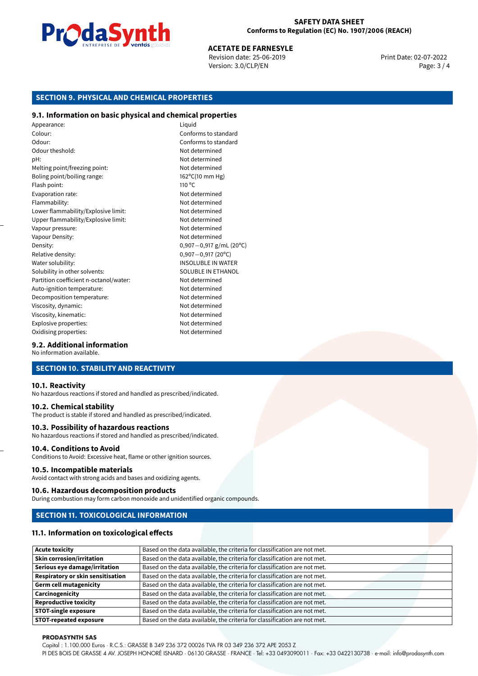

# **ACETATE DE FARNESYLE**<br>
Revision date: 25-06-2019<br> **Print Date: 02-07-2022**

Revision date: 25-06-2019 Version: 3.0/CLP/EN Page: 3 / 4

### **SECTION 9. PHYSICAL AND CHEMICAL PROPERTIES**

### **9.1. Information on basic physical and chemical properties**

Appearance: Liquid Colour: Conforms to standard Odour: Conforms to standard Odour theshold: Not determined pH: Not determined Melting point/freezing point: Not determined Boling point/boiling range: 162ºC(10 mm Hg) Flash point: 110 °C Evaporation rate: Not determined Flammability: Not determined Lower flammability/Explosive limit: Not determined Upper flammability/Explosive limit: Not determined Vapour pressure: Vapour pressure: Not determined Vapour Density: Not determined Density: 0,907−0,917 g/mL (20°C)<br>Relative density: 0,907−0,917 (20°C) Relative density: 0,907−0,917 (20°C)<br>Water solubility: 0,907−0,917 (20°C) Solubility in other solvents: SOLUBLE IN ETHANOL Partition coefficient n-octanol/water: Not determined Auto-ignition temperature: Not determined Decomposition temperature: Not determined Viscosity, dynamic:  $\blacksquare$ Viscosity, kinematic: Not determined Explosive properties: Not determined Oxidising properties: Not determined

**INSOLUBLE IN WATER** 

### **9.2. Additional information**

No information available.

### **SECTION 10. STABILITY AND REACTIVITY**

#### **10.1. Reactivity**

No hazardous reactions if stored and handled as prescribed/indicated.

### **10.2. Chemical stability**

The product is stable if stored and handled as prescribed/indicated.

#### **10.3. Possibility of hazardous reactions**

No hazardous reactions if stored and handled as prescribed/indicated.

### **10.4. Conditions to Avoid**

Conditions to Avoid: Excessive heat, flame or other ignition sources.

#### **10.5. Incompatible materials**

Avoid contact with strong acids and bases and oxidizing agents.

#### **10.6. Hazardous decomposition products**

During combustion may form carbon monoxide and unidentified organic compounds.

### **SECTION 11. TOXICOLOGICAL INFORMATION**

### **11.1. Information on toxicological effects**

| <b>Acute toxicity</b>                    | Based on the data available, the criteria for classification are not met. |
|------------------------------------------|---------------------------------------------------------------------------|
| <b>Skin corrosion/irritation</b>         | Based on the data available, the criteria for classification are not met. |
| Serious eye damage/irritation            | Based on the data available, the criteria for classification are not met. |
| <b>Respiratory or skin sensitisation</b> | Based on the data available, the criteria for classification are not met. |
| <b>Germ cell mutagenicity</b>            | Based on the data available, the criteria for classification are not met. |
| Carcinogenicity                          | Based on the data available, the criteria for classification are not met. |
| <b>Reproductive toxicity</b>             | Based on the data available, the criteria for classification are not met. |
| <b>STOT-single exposure</b>              | Based on the data available, the criteria for classification are not met. |
| <b>STOT-repeated exposure</b>            | Based on the data available, the criteria for classification are not met. |

#### **PRODASYNTH SAS**

Capital : 1.100.000 Euros · R.C.S.: GRASSE B 349 236 372 00026 TVA FR 03 349 236 372 APE 2053 Z

PI DES BOIS DE GRASSE 4 AV. JOSEPH HONORÉ ISNARD · 06130 GRASSE · FRANCE · Tel: +33 0493090011 · Fax: +33 0422130738 · e-mail: info@prodasynth.com